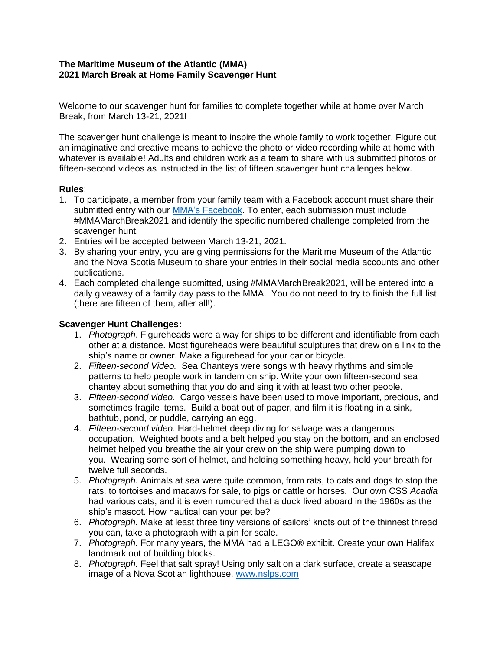## **The Maritime Museum of the Atlantic (MMA) 2021 March Break at Home Family Scavenger Hunt**

Welcome to our scavenger hunt for families to complete together while at home over March Break, from March 13-21, 2021!

The scavenger hunt challenge is meant to inspire the whole family to work together. Figure out an imaginative and creative means to achieve the photo or video recording while at home with whatever is available! Adults and children work as a team to share with us submitted photos or fifteen-second videos as instructed in the list of fifteen scavenger hunt challenges below.

## **Rules**:

- 1. To participate, a member from your family team with a Facebook account must share their submitted entry with our [MMA's Facebook.](https://www.facebook.com/maritimemuseum) To enter, each submission must include #MMAMarchBreak2021 and identify the specific numbered challenge completed from the scavenger hunt.
- 2. Entries will be accepted between March 13-21, 2021.
- 3. By sharing your entry, you are giving permissions for the Maritime Museum of the Atlantic and the Nova Scotia Museum to share your entries in their social media accounts and other publications.
- 4. Each completed challenge submitted, using #MMAMarchBreak2021, will be entered into a daily giveaway of a family day pass to the MMA. You do not need to try to finish the full list (there are fifteen of them, after all!).

## **Scavenger Hunt Challenges:**

- 1. *Photograph*. Figureheads were a way for ships to be different and identifiable from each other at a distance. Most figureheads were beautiful sculptures that drew on a link to the ship's name or owner. Make a figurehead for your car or bicycle.
- 2. *Fifteen-second Video.* Sea Chanteys were songs with heavy rhythms and simple patterns to help people work in tandem on ship. Write your own fifteen-second sea chantey about something that *you* do and sing it with at least two other people.
- 3. *Fifteen-second video.* Cargo vessels have been used to move important, precious, and sometimes fragile items. Build a boat out of paper, and film it is floating in a sink, bathtub, pond, or puddle, carrying an egg.
- 4. *Fifteen-second video.* Hard-helmet deep diving for salvage was a dangerous occupation. Weighted boots and a belt helped you stay on the bottom, and an enclosed helmet helped you breathe the air your crew on the ship were pumping down to you. Wearing some sort of helmet, and holding something heavy, hold your breath for twelve full seconds.
- 5. *Photograph.* Animals at sea were quite common, from rats, to cats and dogs to stop the rats, to tortoises and macaws for sale, to pigs or cattle or horses. Our own CSS *Acadia* had various cats, and it is even rumoured that a duck lived aboard in the 1960s as the ship's mascot. How nautical can your pet be?
- 6. *Photograph.* Make at least three tiny versions of sailors' knots out of the thinnest thread you can, take a photograph with a pin for scale.
- 7. *Photograph.* For many years, the MMA had a LEGO® exhibit. Create your own Halifax landmark out of building blocks.
- 8. *Photograph.* Feel that salt spray! Using only salt on a dark surface, create a seascape image of a Nova Scotian lighthouse. [www.nslps.com](http://www.nslps.com/)